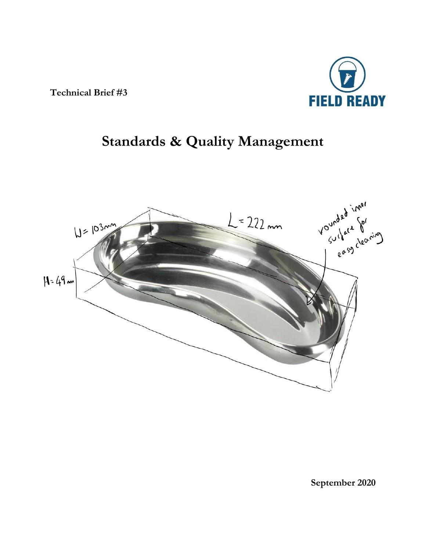**Technical Brief #3**



# **Standards & Quality Management**



**September 2020**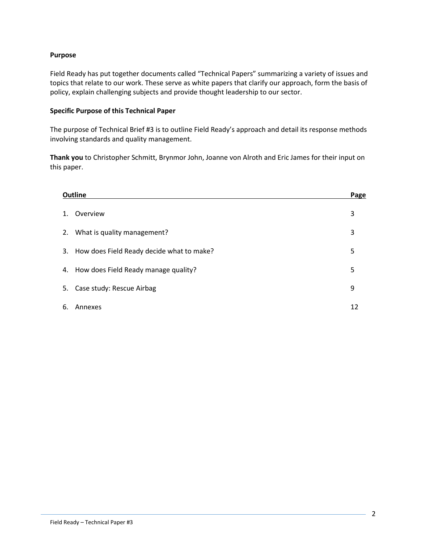#### **Purpose**

Field Ready has put together documents called "Technical Papers" summarizing a variety of issues and topics that relate to our work. These serve as white papers that clarify our approach, form the basis of policy, explain challenging subjects and provide thought leadership to our sector.

### **Specific Purpose of this Technical Paper**

The purpose of Technical Brief #3 is to outline Field Ready's approach and detail its response methods involving standards and quality management.

**Thank you** to Christopher Schmitt, Brynmor John, Joanne von Alroth and Eric James for their input on this paper.

| <b>Outline</b> |                                              | Page |
|----------------|----------------------------------------------|------|
| 1.             | Overview                                     | 3    |
|                | 2. What is quality management?               | 3    |
|                | 3. How does Field Ready decide what to make? | 5    |
|                | 4. How does Field Ready manage quality?      | 5    |
|                | 5. Case study: Rescue Airbag                 | 9    |
| 6.             | Annexes                                      | 12   |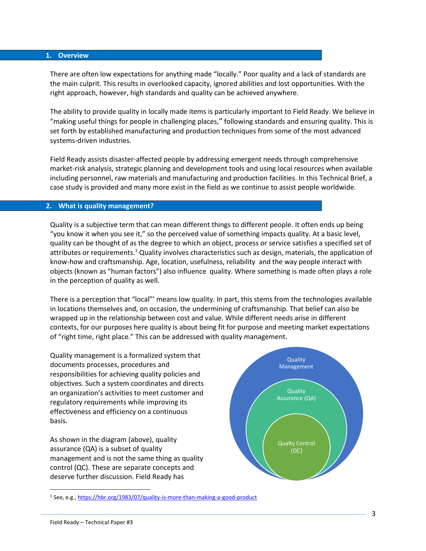#### **1. Overview**

There are often low expectations for anything made "locally." Poor quality and a lack of standards are the main culprit. This results in overlooked capacity, ignored abilities and lost opportunities. With the right approach, however, high standards and quality can be achieved anywhere.

The ability to provide quality in locally made items is particularly important to Field Ready. We believe in "making useful things for people in challenging places," following standards and ensuring quality. This is set forth by established manufacturing and production techniques from some of the most advanced systems-driven industries.

Field Ready assists disaster-affected people by addressing emergent needs through comprehensive market-risk analysis, strategic planning and development tools and using local resources when available including personnel, raw materials and manufacturing and production facilities. In this Technical Brief, a case study is provided and many more exist in the field as we continue to assist people worldwide.

#### **2. What is quality management?**

Quality is a subjective term that can mean different things to different people. It often ends up being "you know it when you see it," so the perceived value of something impacts quality. At a basic level, quality can be thought of as the degree to which an object, process or service satisfies a specified set of attributes or requirements.<sup>1</sup> Quality involves characteristics such as design, materials, the application of know-how and craftsmanship. Age, location, usefulness, reliability and the way people interact with objects (known as "human factors") also influence quality. Where something is made often plays a role in the perception of quality as well.

There is a perception that "local"' means low quality. In part, this stems from the technologies available in locations themselves and, on occasion, the undermining of craftsmanship. That belief can also be wrapped up in the relationship between cost and value. While different needs arise in different contexts, for our purposes here quality is about being fit for purpose and meeting market expectations of "right time, right place." This can be addressed with quality management.

Quality management is a formalized system that documents processes, procedures and responsibilities for achieving quality policies and objectives. Such a system coordinates and directs an organization's activities to meet customer and regulatory requirements while improving its effectiveness and efficiency on a continuous basis.

As shown in the diagram (above), quality assurance (QA) is a subset of quality management and is not the same thing as quality control (QC). These are separate concepts and deserve further discussion. Field Ready has



<sup>1</sup> See, e.g.,<https://hbr.org/1983/07/quality-is-more-than-making-a-good-product>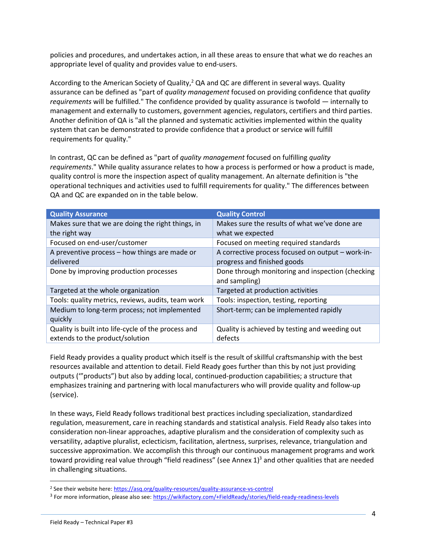policies and procedures, and undertakes action, in all these areas to ensure that what we do reaches an appropriate level of quality and provides value to end-users.

According to the American Society of Quality,<sup>2</sup> QA and QC are different in several ways. Quality assurance can be defined as "part of *quality management* focused on providing confidence that *quality requirements* will be fulfilled." The confidence provided by quality assurance is twofold — internally to management and externally to customers, government agencies, regulators, certifiers and third parties. Another definition of QA is "all the planned and systematic activities implemented within the quality system that can be demonstrated to provide confidence that a product or service will fulfill requirements for quality."

In contrast, QC can be defined as "part of *quality management* focused on fulfilling *quality requirements*." While quality assurance relates to how a process is performed or how a product is made, quality control is more the inspection aspect of quality management. An alternate definition is "the operational techniques and activities used to fulfill requirements for quality." The differences between QA and QC are expanded on in the table below.

| <b>Quality Assurance</b>                            | <b>Quality Control</b>                            |
|-----------------------------------------------------|---------------------------------------------------|
| Makes sure that we are doing the right things, in   | Makes sure the results of what we've done are     |
| the right way                                       | what we expected                                  |
| Focused on end-user/customer                        | Focused on meeting required standards             |
| A preventive process - how things are made or       | A corrective process focused on output - work-in- |
| delivered                                           | progress and finished goods                       |
| Done by improving production processes              | Done through monitoring and inspection (checking  |
|                                                     | and sampling)                                     |
| Targeted at the whole organization                  | Targeted at production activities                 |
| Tools: quality metrics, reviews, audits, team work  | Tools: inspection, testing, reporting             |
| Medium to long-term process; not implemented        | Short-term; can be implemented rapidly            |
| quickly                                             |                                                   |
| Quality is built into life-cycle of the process and | Quality is achieved by testing and weeding out    |
| extends to the product/solution                     | defects                                           |

Field Ready provides a quality product which itself is the result of skillful craftsmanship with the best resources available and attention to detail. Field Ready goes further than this by not just providing outputs ('"products") but also by adding local, continued-production capabilities; a structure that emphasizes training and partnering with local manufacturers who will provide quality and follow-up (service).

In these ways, Field Ready follows traditional best practices including specialization, standardized regulation, measurement, care in reaching standards and statistical analysis. Field Ready also takes into consideration non-linear approaches, adaptive pluralism and the consideration of complexity such as versatility, adaptive pluralist, eclecticism, facilitation, alertness, surprises, relevance, triangulation and successive approximation. We accomplish this through our continuous management programs and work toward providing real value through "field readiness" (see Annex  $1$ )<sup>3</sup> and other qualities that are needed in challenging situations.

<sup>&</sup>lt;sup>2</sup> See their website here[: https://asq.org/quality-resources/quality-assurance-vs-control](https://asq.org/quality-resources/quality-assurance-vs-control)

<sup>&</sup>lt;sup>3</sup> For more information, please also see: <https://wikifactory.com/+FieldReady/stories/field-ready-readiness-levels>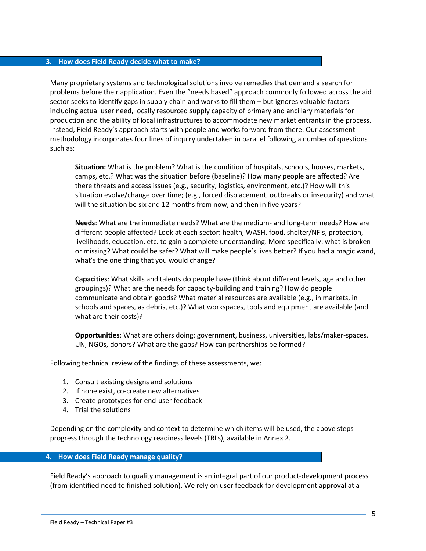#### **3. How does Field Ready decide what to make?**

Many proprietary systems and technological solutions involve remedies that demand a search for problems before their application. Even the "needs based" approach commonly followed across the aid sector seeks to identify gaps in supply chain and works to fill them – but ignores valuable factors including actual user need, locally resourced supply capacity of primary and ancillary materials for production and the ability of local infrastructures to accommodate new market entrants in the process. Instead, Field Ready's approach starts with people and works forward from there. Our assessment methodology incorporates four lines of inquiry undertaken in parallel following a number of questions such as:

**Situation:** What is the problem? What is the condition of hospitals, schools, houses, markets, camps, etc.? What was the situation before (baseline)? How many people are affected? Are there threats and access issues (e.g., security, logistics, environment, etc.)? How will this situation evolve/change over time; (e.g., forced displacement, outbreaks or insecurity) and what will the situation be six and 12 months from now, and then in five years?

**Needs**: What are the immediate needs? What are the medium- and long-term needs? How are different people affected? Look at each sector: health, WASH, food, shelter/NFIs, protection, livelihoods, education, etc. to gain a complete understanding. More specifically: what is broken or missing? What could be safer? What will make people's lives better? If you had a magic wand, what's the one thing that you would change?

**Capacities**: What skills and talents do people have (think about different levels, age and other groupings)? What are the needs for capacity-building and training? How do people communicate and obtain goods? What material resources are available (e.g., in markets, in schools and spaces, as debris, etc.)? What workspaces, tools and equipment are available (and what are their costs)?

**Opportunities**: What are others doing: government, business, universities, labs/maker-spaces, UN, NGOs, donors? What are the gaps? How can partnerships be formed?

Following technical review of the findings of these assessments, we:

- 1. Consult existing designs and solutions
- 2. If none exist, co-create new alternatives
- 3. Create prototypes for end-user feedback
- 4. Trial the solutions

Depending on the complexity and context to determine which items will be used, the above steps progress through the technology readiness levels (TRLs), available in Annex 2.

#### **4. How does Field Ready manage quality?**

Field Ready's approach to quality management is an integral part of our product-development process (from identified need to finished solution). We rely on user feedback for development approval at a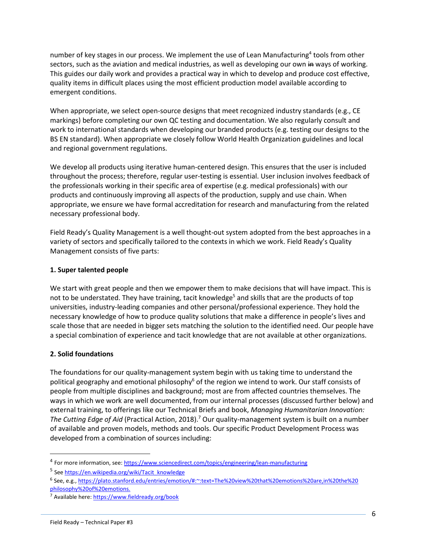number of key stages in our process. We implement the use of Lean Manufacturing<sup>4</sup> tools from other sectors, such as the aviation and medical industries, as well as developing our own in ways of working. This guides our daily work and provides a practical way in which to develop and produce cost effective, quality items in difficult places using the most efficient production model available according to emergent conditions.

When appropriate, we select open-source designs that meet recognized industry standards (e.g., CE markings) before completing our own QC testing and documentation. We also regularly consult and work to international standards when developing our branded products (e.g. testing our designs to the BS EN standard). When appropriate we closely follow World Health Organization guidelines and local and regional government regulations.

We develop all products using iterative human-centered design. This ensures that the user is included throughout the process; therefore, regular user-testing is essential. User inclusion involves feedback of the professionals working in their specific area of expertise (e.g. medical professionals) with our products and continuously improving all aspects of the production, supply and use chain. When appropriate, we ensure we have formal accreditation for research and manufacturing from the related necessary professional body.

Field Ready's Quality Management is a well thought-out system adopted from the best approaches in a variety of sectors and specifically tailored to the contexts in which we work. Field Ready's Quality Management consists of five parts:

## **1. Super talented people**

We start with great people and then we empower them to make decisions that will have impact. This is not to be understated. They have training, tacit knowledge<sup>5</sup> and skills that are the products of top universities, industry-leading companies and other personal/professional experience. They hold the necessary knowledge of how to produce quality solutions that make a difference in people's lives and scale those that are needed in bigger sets matching the solution to the identified need. Our people have a special combination of experience and tacit knowledge that are not available at other organizations.

## **2. Solid foundations**

The foundations for our quality-management system begin with us taking time to understand the political geography and emotional philosophy<sup>6</sup> of the region we intend to work. Our staff consists of people from multiple disciplines and background; most are from affected countries themselves. The ways in which we work are well documented, from our internal processes (discussed further below) and external training, to offerings like our Technical Briefs and book, *Managing Humanitarian Innovation: The Cutting Edge of Aid* (Practical Action, 2018).<sup>7</sup> Our quality-management system is built on a number of available and proven models, methods and tools. Our specific Product Development Process was developed from a combination of sources including:

<sup>&</sup>lt;sup>4</sup> For more information, see[: https://www.sciencedirect.com/topics/engineering/lean-manufacturing](https://www.sciencedirect.com/topics/engineering/lean-manufacturing)

<sup>&</sup>lt;sup>5</sup> Se[e https://en.wikipedia.org/wiki/Tacit\\_knowledge](https://en.wikipedia.org/wiki/Tacit_knowledge)

<sup>6</sup> See, e.g., [https://plato.stanford.edu/entries/emotion/#:~:text=The%20view%20that%20emotions%20are,in%20the%20](https://plato.stanford.edu/entries/emotion/#:~:text=The%20view%20that%20emotions%20are,in%20the%20 philosophy%20of%20emotions.)  [philosophy%20of%20emotions.](https://plato.stanford.edu/entries/emotion/#:~:text=The%20view%20that%20emotions%20are,in%20the%20 philosophy%20of%20emotions.)

<sup>&</sup>lt;sup>7</sup> Available here[: https://www.fieldready.org/book](https://www.fieldready.org/book)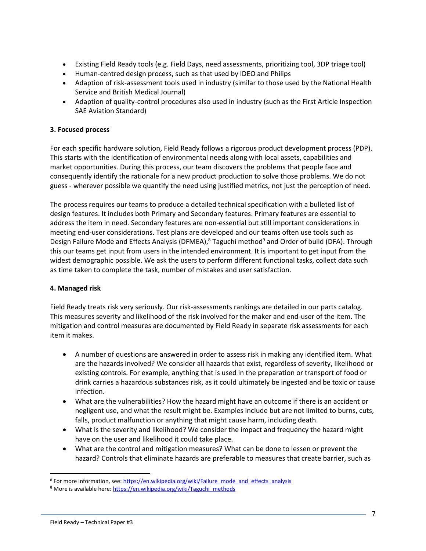- Existing Field Ready tools (e.g. Field Days, need assessments, prioritizing tool, 3DP triage tool)
- Human-centred design process, such as that used by IDEO and Philips
- Adaption of risk-assessment tools used in industry (similar to those used by the National Health Service and British Medical Journal)
- Adaption of quality-control procedures also used in industry (such as the First Article Inspection SAE Aviation Standard)

## **3. Focused process**

For each specific hardware solution, Field Ready follows a rigorous product development process (PDP). This starts with the identification of environmental needs along with local assets, capabilities and market opportunities. During this process, our team discovers the problems that people face and consequently identify the rationale for a new product production to solve those problems. We do not guess - wherever possible we quantify the need using justified metrics, not just the perception of need.

The process requires our teams to produce a detailed technical specification with a bulleted list of design features. It includes both Primary and Secondary features. Primary features are essential to address the item in need. Secondary features are non-essential but still important considerations in meeting end-user considerations. Test plans are developed and our teams often use tools such as Design Failure Mode and Effects Analysis (DFMEA),<sup>8</sup> Taguchi method<sup>9</sup> and Order of build (DFA). Through this our teams get input from users in the intended environment. It is important to get input from the widest demographic possible. We ask the users to perform different functional tasks, collect data such as time taken to complete the task, number of mistakes and user satisfaction.

#### **4. Managed risk**

Field Ready treats risk very seriously. Our risk-assessments rankings are detailed in our parts catalog. This measures severity and likelihood of the risk involved for the maker and end-user of the item. The mitigation and control measures are documented by Field Ready in separate risk assessments for each item it makes.

- A number of questions are answered in order to assess risk in making any identified item. What are the hazards involved? We consider all hazards that exist, regardless of severity, likelihood or existing controls. For example, anything that is used in the preparation or transport of food or drink carries a hazardous substances risk, as it could ultimately be ingested and be toxic or cause infection.
- What are the vulnerabilities? How the hazard might have an outcome if there is an accident or negligent use, and what the result might be. Examples include but are not limited to burns, cuts, falls, product malfunction or anything that might cause harm, including death.
- What is the severity and likelihood? We consider the impact and frequency the hazard might have on the user and likelihood it could take place.
- What are the control and mitigation measures? What can be done to lessen or prevent the hazard? Controls that eliminate hazards are preferable to measures that create barrier, such as

<sup>&</sup>lt;sup>8</sup> For more information, see[: https://en.wikipedia.org/wiki/Failure\\_mode\\_and\\_effects\\_analysis](https://en.wikipedia.org/wiki/Failure_mode_and_effects_analysis)

<sup>&</sup>lt;sup>9</sup> More is available here[: https://en.wikipedia.org/wiki/Taguchi\\_methods](https://en.wikipedia.org/wiki/Taguchi_methods)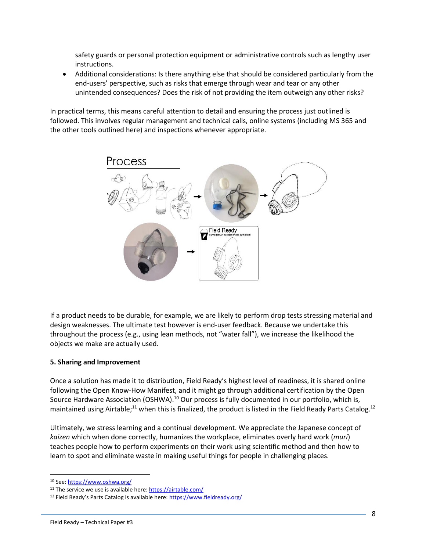safety guards or personal protection equipment or administrative controls such as lengthy user instructions.

• Additional considerations: Is there anything else that should be considered particularly from the end-users' perspective, such as risks that emerge through wear and tear or any other unintended consequences? Does the risk of not providing the item outweigh any other risks?

In practical terms, this means careful attention to detail and ensuring the process just outlined is followed. This involves regular management and technical calls, online systems (including MS 365 and the other tools outlined here) and inspections whenever appropriate.



If a product needs to be durable, for example, we are likely to perform drop tests stressing material and design weaknesses. The ultimate test however is end-user feedback. Because we undertake this throughout the process (e.g., using lean methods, not "water fall"), we increase the likelihood the objects we make are actually used.

#### **5. Sharing and Improvement**

Once a solution has made it to distribution, Field Ready's highest level of readiness, it is shared online following the Open Know-How Manifest, and it might go through additional certification by the Open Source Hardware Association (OSHWA).<sup>10</sup> Our process is fully documented in our portfolio, which is, maintained using Airtable;<sup>11</sup> when this is finalized, the product is listed in the Field Ready Parts Catalog.<sup>12</sup>

Ultimately, we stress learning and a continual development. We appreciate the Japanese concept of *kaizen* which when done correctly, humanizes the workplace, eliminates overly hard work (*muri*) teaches people how to perform experiments on their work using scientific method and then how to learn to spot and eliminate waste in making useful things for people in challenging places.

<sup>10</sup> See[: https://www.oshwa.org/](https://www.oshwa.org/)

<sup>&</sup>lt;sup>11</sup> The service we use is available here: https://airtable.com/

<sup>&</sup>lt;sup>12</sup> Field Ready's Parts Catalog is available here: <https://www.fieldready.org/>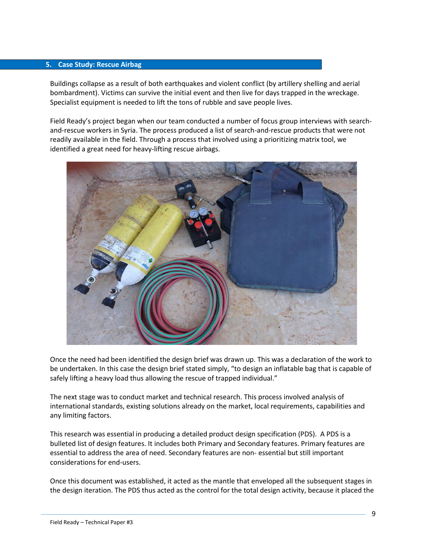#### **5. Case Study: Rescue Airbag**

Buildings collapse as a result of both earthquakes and violent conflict (by artillery shelling and aerial bombardment). Victims can survive the initial event and then live for days trapped in the wreckage. Specialist equipment is needed to lift the tons of rubble and save people lives.

Field Ready's project began when our team conducted a number of focus group interviews with searchand-rescue workers in Syria. The process produced a list of search-and-rescue products that were not readily available in the field. Through a process that involved using a prioritizing matrix tool, we identified a great need for heavy-lifting rescue airbags.



Once the need had been identified the design brief was drawn up. This was a declaration of the work to be undertaken. In this case the design brief stated simply, "to design an inflatable bag that is capable of safely lifting a heavy load thus allowing the rescue of trapped individual."

The next stage was to conduct market and technical research. This process involved analysis of international standards, existing solutions already on the market, local requirements, capabilities and any limiting factors.

This research was essential in producing a detailed product design specification (PDS). A PDS is a bulleted list of design features. It includes both Primary and Secondary features. Primary features are essential to address the area of need. Secondary features are non- essential but still important considerations for end-users.

Once this document was established, it acted as the mantle that enveloped all the subsequent stages in the design iteration. The PDS thus acted as the control for the total design activity, because it placed the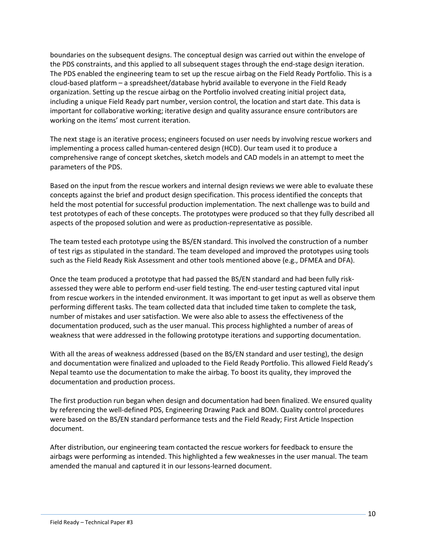boundaries on the subsequent designs. The conceptual design was carried out within the envelope of the PDS constraints, and this applied to all subsequent stages through the end-stage design iteration. The PDS enabled the engineering team to set up the rescue airbag on the Field Ready Portfolio. This is a cloud-based platform – a spreadsheet/database hybrid available to everyone in the Field Ready organization. Setting up the rescue airbag on the Portfolio involved creating initial project data, including a unique Field Ready part number, version control, the location and start date. This data is important for collaborative working; iterative design and quality assurance ensure contributors are working on the items' most current iteration.

The next stage is an iterative process; engineers focused on user needs by involving rescue workers and implementing a process called human-centered design (HCD). Our team used it to produce a comprehensive range of concept sketches, sketch models and CAD models in an attempt to meet the parameters of the PDS.

Based on the input from the rescue workers and internal design reviews we were able to evaluate these concepts against the brief and product design specification. This process identified the concepts that held the most potential for successful production implementation. The next challenge was to build and test prototypes of each of these concepts. The prototypes were produced so that they fully described all aspects of the proposed solution and were as production-representative as possible.

The team tested each prototype using the BS/EN standard. This involved the construction of a number of test rigs as stipulated in the standard. The team developed and improved the prototypes using tools such as the Field Ready Risk Assessment and other tools mentioned above (e.g., DFMEA and DFA).

Once the team produced a prototype that had passed the BS/EN standard and had been fully riskassessed they were able to perform end-user field testing. The end-user testing captured vital input from rescue workers in the intended environment. It was important to get input as well as observe them performing different tasks. The team collected data that included time taken to complete the task, number of mistakes and user satisfaction. We were also able to assess the effectiveness of the documentation produced, such as the user manual. This process highlighted a number of areas of weakness that were addressed in the following prototype iterations and supporting documentation.

With all the areas of weakness addressed (based on the BS/EN standard and user testing), the design and documentation were finalized and uploaded to the Field Ready Portfolio. This allowed Field Ready's Nepal teamto use the documentation to make the airbag. To boost its quality, they improved the documentation and production process.

The first production run began when design and documentation had been finalized. We ensured quality by referencing the well-defined PDS, Engineering Drawing Pack and BOM. Quality control procedures were based on the BS/EN standard performance tests and the Field Ready; First Article Inspection document.

After distribution, our engineering team contacted the rescue workers for feedback to ensure the airbags were performing as intended. This highlighted a few weaknesses in the user manual. The team amended the manual and captured it in our lessons-learned document.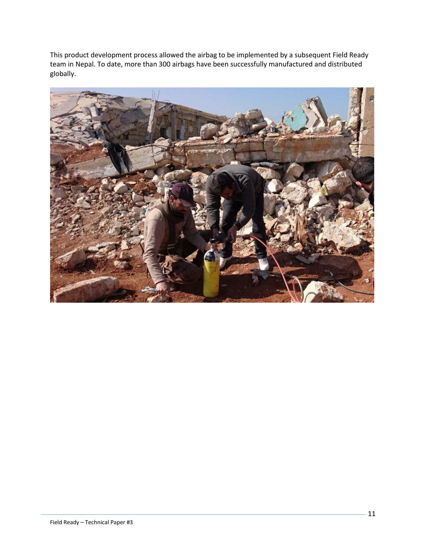This product development process allowed the airbag to be implemented by a subsequent Field Ready team in Nepal. To date, more than 300 airbags have been successfully manufactured and distributed globally.

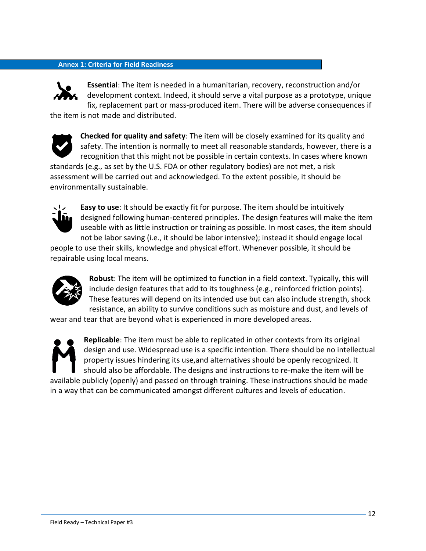## **Annex 1: Criteria for Field Readiness**



**Essential**: The item is needed in a humanitarian, recovery, reconstruction and/or development context. Indeed, it should serve a vital purpose as a prototype, unique fix, replacement part or mass-produced item. There will be adverse consequences if

the item is not made and distributed.

environmentally sustainable.



**Checked for quality and safety**: The item will be closely examined for its quality and safety. The intention is normally to meet all reasonable standards, however, there is a recognition that this might not be possible in certain contexts. In cases where known standards (e.g., as set by the U.S. FDA or other regulatory bodies) are not met, a risk assessment will be carried out and acknowledged. To the extent possible, it should be



**Easy to use**: It should be exactly fit for purpose. The item should be intuitively designed following human-centered principles. The design features will make the item useable with as little instruction or training as possible. In most cases, the item should not be labor saving (i.e., it should be labor intensive); instead it should engage local

people to use their skills, knowledge and physical effort. Whenever possible, it should be repairable using local means.



**Robust**: The item will be optimized to function in a field context. Typically, this will include design features that add to its toughness (e.g., reinforced friction points). These features will depend on its intended use but can also include strength, shock resistance, an ability to survive conditions such as moisture and dust, and levels of

wear and tear that are beyond what is experienced in more developed areas.



**Replicable**: The item must be able to replicated in other contexts from its original design and use. Widespread use is a specific intention. There should be no intellectual property issues hindering its use,and alternatives should be openly recognized. It should also be affordable. The designs and instructions to re-make the item will be

available publicly (openly) and passed on through training. These instructions should be made in a way that can be communicated amongst different cultures and levels of education.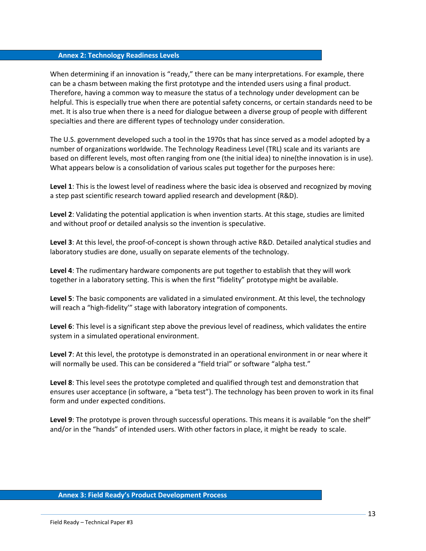#### **Annex 2: Technology Readiness Levels**

When determining if an innovation is "ready," there can be many interpretations. For example, there can be a chasm between making the first prototype and the intended users using a final product. Therefore, having a common way to measure the status of a technology under development can be helpful. This is especially true when there are potential safety concerns, or certain standards need to be met. It is also true when there is a need for dialogue between a diverse group of people with different specialties and there are different types of technology under consideration.

The U.S. government developed such a tool in the 1970s that has since served as a model adopted by a number of organizations worldwide. The Technology Readiness Level (TRL) scale and its variants are based on different levels, most often ranging from one (the initial idea) to nine(the innovation is in use). What appears below is a consolidation of various scales put together for the purposes here:

**Level 1**: This is the lowest level of readiness where the basic idea is observed and recognized by moving a step past scientific research toward applied research and development (R&D).

**Level 2**: Validating the potential application is when invention starts. At this stage, studies are limited and without proof or detailed analysis so the invention is speculative.

**Level 3**: At this level, the proof-of-concept is shown through active R&D. Detailed analytical studies and laboratory studies are done, usually on separate elements of the technology.

**Level 4**: The rudimentary hardware components are put together to establish that they will work together in a laboratory setting. This is when the first "fidelity" prototype might be available.

**Level 5**: The basic components are validated in a simulated environment. At this level, the technology will reach a "high-fidelity'" stage with laboratory integration of components.

**Level 6**: This level is a significant step above the previous level of readiness, which validates the entire system in a simulated operational environment.

**Level 7**: At this level, the prototype is demonstrated in an operational environment in or near where it will normally be used. This can be considered a "field trial" or software "alpha test."

**Level 8**: This level sees the prototype completed and qualified through test and demonstration that ensures user acceptance (in software, a "beta test"). The technology has been proven to work in its final form and under expected conditions.

**Level 9**: The prototype is proven through successful operations. This means it is available "on the shelf" and/or in the "hands" of intended users. With other factors in place, it might be ready to scale.

#### **Annex 3: Field Ready's Product Development Process**